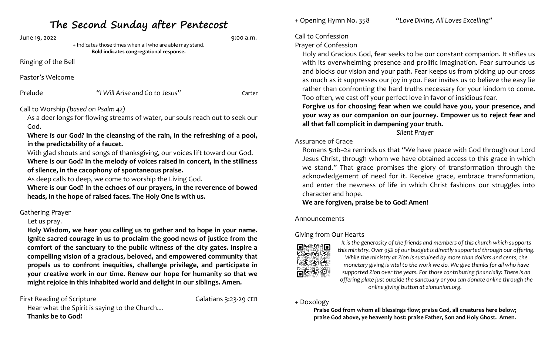| June 19, 2022       | + Indicates those times when all who are able may stand.<br>Bold indicates congregational response.                  | 9:00 a.m. |  |
|---------------------|----------------------------------------------------------------------------------------------------------------------|-----------|--|
| Ringing of the Bell |                                                                                                                      |           |  |
| Pastor's Welcome    |                                                                                                                      |           |  |
| Prelude             | "I Will Arise and Go to Jesus"                                                                                       | Carter    |  |
|                     | Call to Worship (based on Psalm 42)<br>As a deer longs for flowing streams of water, our souls reach out to seek our |           |  |

God. **Where is our God? In the cleansing of the rain, in the refreshing of a pool,** 

**in the predictability of a faucet.**

**The Second Sunday after Pentecost**

With glad shouts and songs of thanksgiving, our voices lift toward our God. **Where is our God? In the melody of voices raised in concert, in the stillness of silence, in the cacophony of spontaneous praise.**

As deep calls to deep, we come to worship the Living God.

**Where is our God? In the echoes of our prayers, in the reverence of bowed heads, in the hope of raised faces. The Holy One is with us.**

# Gathering Prayer

# Let us pray.

**Holy Wisdom, we hear you calling us to gather and to hope in your name. Ignite sacred courage in us to proclaim the good news of justice from the comfort of the sanctuary to the public witness of the city gates. Inspire a compelling vision of a gracious, beloved, and empowered community that propels us to confront inequities, challenge privilege, and participate in your creative work in our time. Renew our hope for humanity so that we might rejoice in this inhabited world and delight in our siblings. Amen.**

First Reading of Scripture **Galatians 3:23-29 CEB** Hear what the Spirit is saying to the Church… **Thanks be to God!**

+ Opening Hymn No. 358*"Love Divine, All Loves Excelling"*

#### Call to Confession

# Prayer of Confession

Holy and Gracious God, fear seeks to be our constant companion. It stifles us with its overwhelming presence and prolific imagination. Fear surrounds us and blocks our vision and your path. Fear keeps us from picking up our cross as much as it suppresses our joy in you. Fear invites us to believe the easy lie rather than confronting the hard truths necessary for your kindom to come. Too often, we cast off your perfect love in favor of insidious fear.

**Forgive us for choosing fear when we could have you, your presence, and your way as our companion on our journey. Empower us to reject fear and all that fall complicit in dampening your truth.**

*Silent Prayer*

### Assurance of Grace

Romans 5:1b–2a reminds us that "We have peace with God through our Lord Jesus Christ, through whom we have obtained access to this grace in which we stand." That grace promises the glory of transformation through the acknowledgement of need for it. Receive grace, embrace transformation, and enter the newness of life in which Christ fashions our struggles into character and hope.

**We are forgiven, praise be to God! Amen!**

### Announcements

# Giving from Our Hearts



*It is the generosity of the friends and members of this church which supports this ministry. Over 95% of our budget is directly supported through our offering. While the ministry at Zion is sustained by more than dollars and cents, the monetary giving is vital to the work we do. We give thanks for all who have supported Zion over the years. For those contributing financially: There is an offering plate just outside the sanctuary or you can donate online through the online giving button at zionunion.org.*

### + Doxology

**Praise God from whom all blessings flow; praise God, all creatures here below; praise God above, ye heavenly host: praise Father, Son and Holy Ghost. Amen.**